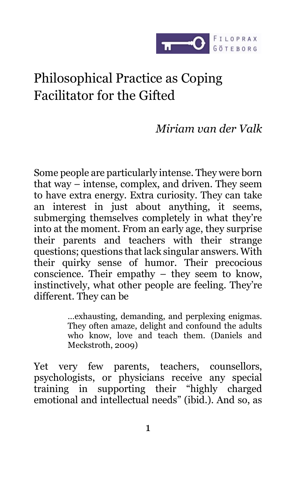

# *Miriam van der Valk*

Some people are particularly intense. They were born that way – intense, complex, and driven. They seem to have extra energy. Extra curiosity. They can take an interest in just about anything, it seems, submerging themselves completely in what they're into at the moment. From an early age, they surprise their parents and teachers with their strange questions; questions that lack singular answers. With their quirky sense of humor. Their precocious conscience. Their empathy – they seem to know, instinctively, what other people are feeling. They're different. They can be

> …exhausting, demanding, and perplexing enigmas. They often amaze, delight and confound the adults who know, love and teach them. (Daniels and Meckstroth, 2009)

Yet very few parents, teachers, counsellors, psychologists, or physicians receive any special training in supporting their "highly charged emotional and intellectual needs" (ibid.). And so, as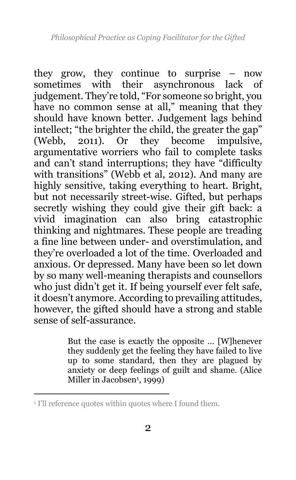they grow, they continue to surprise – now sometimes with their asynchronous lack of judgement. They're told, "For someone so bright, you have no common sense at all," meaning that they should have known better. Judgement lags behind intellect; "the brighter the child, the greater the gap"<br>(Webb. 2011). Or they become impulsive. 2011). Or they become impulsive, argumentative worriers who fail to complete tasks and can't stand interruptions; they have "difficulty with transitions" (Webb et al, 2012). And many are highly sensitive, taking everything to heart. Bright, but not necessarily street-wise. Gifted, but perhaps secretly wishing they could give their gift back: a vivid imagination can also bring catastrophic thinking and nightmares. These people are treading a fine line between under- and overstimulation, and they're overloaded a lot of the time. Overloaded and anxious. Or depressed. Many have been so let down by so many well-meaning therapists and counsellors who just didn't get it. If being yourself ever felt safe, it doesn't anymore. According to prevailing attitudes, however, the gifted should have a strong and stable sense of self-assurance.

> But the case is exactly the opposite … [W]henever they suddenly get the feeling they have failed to live up to some standard, then they are plagued by anxiety or deep feelings of guilt and shame. (Alice Miller in Jacobsen<sup>1</sup>, 1999)

<sup>&</sup>lt;sup>1</sup> I'll reference quotes within quotes where I found them.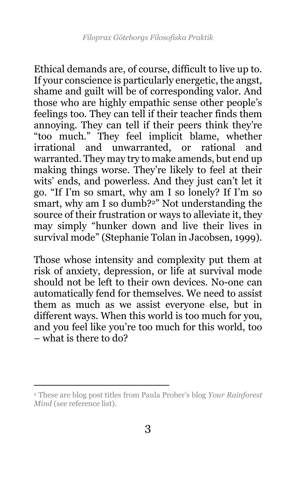Ethical demands are, of course, difficult to live up to. If your conscience is particularly energetic, the angst, shame and guilt will be of corresponding valor. And those who are highly empathic sense other people's feelings too. They can tell if their teacher finds them annoying. They can tell if their peers think they're "too much." They feel implicit blame, whether irrational and unwarranted, or rational and warranted. They may try to make amends, but end up making things worse. They're likely to feel at their wits' ends, and powerless. And they just can't let it go. "If I'm so smart, why am I so lonely? If I'm so smart, why am I so dumb?<sup>2"</sup> Not understanding the source of their frustration or ways to alleviate it, they may simply "hunker down and live their lives in survival mode" (Stephanie Tolan in Jacobsen, 1999).

Those whose intensity and complexity put them at risk of anxiety, depression, or life at survival mode should not be left to their own devices. No-one can automatically fend for themselves. We need to assist them as much as we assist everyone else, but in different ways. When this world is too much for you, and you feel like you're too much for this world, too – what is there to do?

<sup>2</sup> These are blog post titles from Paula Prober's blog *Your Rainforest Mind* (see reference list).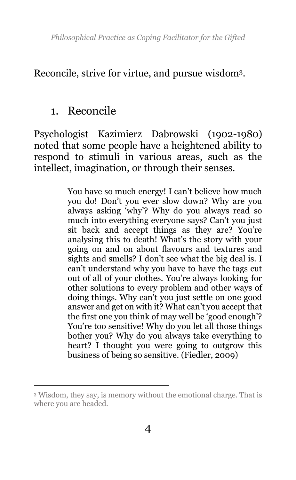Reconcile, strive for virtue, and pursue wisdom<sup>3</sup> .

### 1. Reconcile

Psychologist Kazimierz Dabrowski (1902-1980) noted that some people have a heightened ability to respond to stimuli in various areas, such as the intellect, imagination, or through their senses.

> You have so much energy! I can't believe how much you do! Don't you ever slow down? Why are you always asking 'why'? Why do you always read so much into everything everyone says? Can't you just sit back and accept things as they are? You're analysing this to death! What's the story with your going on and on about flavours and textures and sights and smells? I don't see what the big deal is. I can't understand why you have to have the tags cut out of all of your clothes. You're always looking for other solutions to every problem and other ways of doing things. Why can't you just settle on one good answer and get on with it? What can't you accept that the first one you think of may well be 'good enough'? You're too sensitive! Why do you let all those things bother you? Why do you always take everything to heart? I thought you were going to outgrow this business of being so sensitive. (Fiedler, 2009)

 $\overline{a}$ <sup>3</sup> Wisdom, they say, is memory without the emotional charge. That is where you are headed.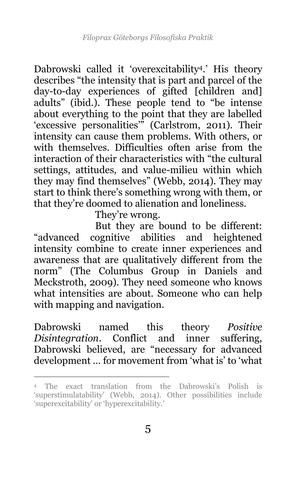Dabrowski called it 'overexcitability<sup>4</sup> .' His theory describes "the intensity that is part and parcel of the day-to-day experiences of gifted [children and] adults" (ibid.). These people tend to "be intense about everything to the point that they are labelled 'excessive personalities'" (Carlstrom, 2011). Their intensity can cause them problems. With others, or with themselves. Difficulties often arise from the interaction of their characteristics with "the cultural settings, attitudes, and value-milieu within which they may find themselves" (Webb, 2014). They may start to think there's something wrong with them, or that they're doomed to alienation and loneliness.

They're wrong.

But they are bound to be different: "advanced cognitive abilities and heightened intensity combine to create inner experiences and awareness that are qualitatively different from the norm" (The Columbus Group in Daniels and Meckstroth, 2009). They need someone who knows what intensities are about. Someone who can help with mapping and navigation.

Dabrowski named this theory *Positive Disintegration*. Conflict and inner suffering, Dabrowski believed, are "necessary for advanced development … for movement from 'what is' to 'what

<sup>4</sup> The exact translation from the Dabrowski's Polish is 'superstimulatability' (Webb, 2014). Other possibilities include 'superexcitability' or 'hyperexcitability.'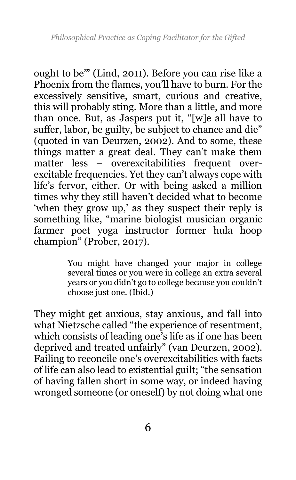ought to be'" (Lind, 2011). Before you can rise like a Phoenix from the flames, you'll have to burn. For the excessively sensitive, smart, curious and creative, this will probably sting. More than a little, and more than once. But, as Jaspers put it, "[w]e all have to suffer, labor, be guilty, be subject to chance and die" (quoted in van Deurzen, 2002). And to some, these things matter a great deal. They can't make them matter less – overexcitabilities frequent overexcitable frequencies. Yet they can't always cope with life's fervor, either. Or with being asked a million times why they still haven't decided what to become 'when they grow up,' as they suspect their reply is something like, "marine biologist musician organic farmer poet yoga instructor former hula hoop champion" (Prober, 2017).

> You might have changed your major in college several times or you were in college an extra several years or you didn't go to college because you couldn't choose just one. (Ibid.)

They might get anxious, stay anxious, and fall into what Nietzsche called "the experience of resentment, which consists of leading one's life as if one has been deprived and treated unfairly" (van Deurzen, 2002). Failing to reconcile one's overexcitabilities with facts of life can also lead to existential guilt; "the sensation of having fallen short in some way, or indeed having wronged someone (or oneself) by not doing what one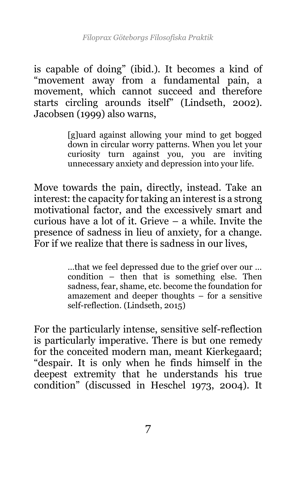is capable of doing" (ibid.). It becomes a kind of "movement away from a fundamental pain, a movement, which cannot succeed and therefore starts circling arounds itself" (Lindseth, 2002). Jacobsen (1999) also warns,

> [g]uard against allowing your mind to get bogged down in circular worry patterns. When you let your curiosity turn against you, you are inviting unnecessary anxiety and depression into your life.

Move towards the pain, directly, instead. Take an interest: the capacity for taking an interest is a strong motivational factor, and the excessively smart and curious have a lot of it. Grieve – a while. Invite the presence of sadness in lieu of anxiety, for a change. For if we realize that there is sadness in our lives,

> …that we feel depressed due to the grief over our … condition – then that is something else. Then sadness, fear, shame, etc. become the foundation for amazement and deeper thoughts – for a sensitive self-reflection. (Lindseth, 2015)

For the particularly intense, sensitive self-reflection is particularly imperative. There is but one remedy for the conceited modern man, meant Kierkegaard; "despair. It is only when he finds himself in the deepest extremity that he understands his true condition" (discussed in Heschel 1973, 2004). It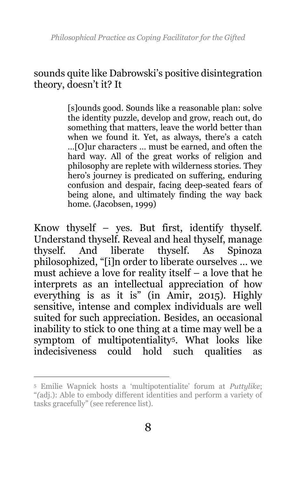#### sounds quite like Dabrowski's positive disintegration theory, doesn't it? It

[s]ounds good. Sounds like a reasonable plan: solve the identity puzzle, develop and grow, reach out, do something that matters, leave the world better than when we found it. Yet, as always, there's a catch …[O]ur characters … must be earned, and often the hard way. All of the great works of religion and philosophy are replete with wilderness stories. They hero's journey is predicated on suffering, enduring confusion and despair, facing deep-seated fears of being alone, and ultimately finding the way back home. (Jacobsen, 1999)

Know thyself – yes. But first, identify thyself. Understand thyself. Reveal and heal thyself, manage thyself. And liberate thyself. As Spinoza philosophized, "[i]n order to liberate ourselves … we must achieve a love for reality itself – a love that he interprets as an intellectual appreciation of how everything is as it is" (in Amir, 2015). Highly sensitive, intense and complex individuals are well suited for such appreciation. Besides, an occasional inability to stick to one thing at a time may well be a symptom of multipotentiality<sup>5</sup> . What looks like indecisiveness could hold such qualities as

<sup>5</sup> Emilie Wapnick hosts a 'multipotentialite' forum at *Puttylike*; "*(*adj.): Able to embody different identities and perform a variety of tasks gracefully" (see reference list).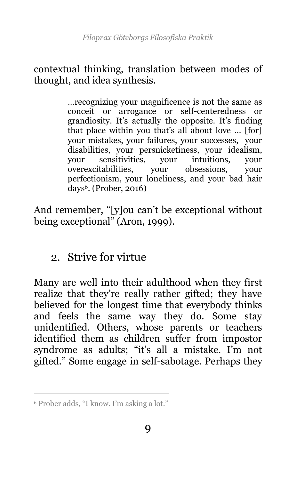*Filoprax Göteborgs Filosofiska Praktik*

contextual thinking, translation between modes of thought, and idea synthesis.

> …recognizing your magnificence is not the same as conceit or arrogance or self-centeredness or grandiosity. It's actually the opposite. It's finding that place within you that's all about love … [for] your mistakes, your failures, your successes, your disabilities, your persnicketiness, your idealism, your sensitivities, your intuitions, your overexcitabilities, your obsessions, your perfectionism, your loneliness, and your bad hair days<sup>6</sup>. (Prober, 2016)

And remember, "[y]ou can't be exceptional without being exceptional" (Aron, 1999).

## 2. Strive for virtue

Many are well into their adulthood when they first realize that they're really rather gifted; they have believed for the longest time that everybody thinks and feels the same way they do. Some stay unidentified. Others, whose parents or teachers identified them as children suffer from impostor syndrome as adults; "it's all a mistake. I'm not gifted." Some engage in self-sabotage. Perhaps they

 <sup>6</sup> Prober adds, "I know. I'm asking a lot."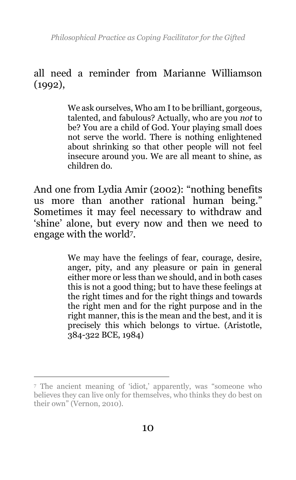#### all need a reminder from Marianne Williamson (1992),

We ask ourselves, Who am I to be brilliant, gorgeous, talented, and fabulous? Actually, who are you *not* to be? You are a child of God. Your playing small does not serve the world. There is nothing enlightened about shrinking so that other people will not feel insecure around you. We are all meant to shine, as children do*.*

And one from Lydia Amir (2002): "nothing benefits us more than another rational human being." Sometimes it may feel necessary to withdraw and 'shine' alone, but every now and then we need to engage with the world<sup>7</sup> .

> We may have the feelings of fear, courage, desire, anger, pity, and any pleasure or pain in general either more or less than we should, and in both cases this is not a good thing; but to have these feelings at the right times and for the right things and towards the right men and for the right purpose and in the right manner, this is the mean and the best, and it is precisely this which belongs to virtue. (Aristotle, 384-322 BCE, 1984)

<sup>7</sup> The ancient meaning of 'idiot,' apparently, was "someone who believes they can live only for themselves, who thinks they do best on their own" (Vernon, 2010).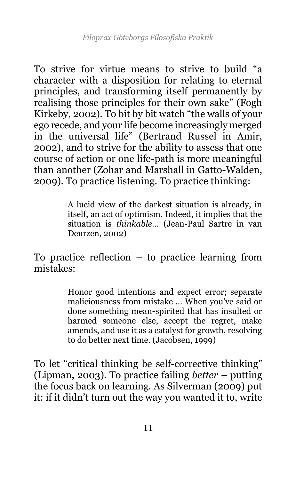To strive for virtue means to strive to build "a character with a disposition for relating to eternal principles, and transforming itself permanently by realising those principles for their own sake" (Fogh Kirkeby, 2002). To bit by bit watch "the walls of your ego recede, and your life become increasingly merged in the universal life" (Bertrand Russel in Amir, 2002), and to strive for the ability to assess that one course of action or one life-path is more meaningful than another (Zohar and Marshall in Gatto-Walden, 2009). To practice listening. To practice thinking:

> A lucid view of the darkest situation is already, in itself, an act of optimism. Indeed, it implies that the situation is *thinkable*… (Jean-Paul Sartre in van Deurzen, 2002)

To practice reflection – to practice learning from mistakes:

> Honor good intentions and expect error; separate maliciousness from mistake … When you've said or done something mean-spirited that has insulted or harmed someone else, accept the regret, make amends, and use it as a catalyst for growth, resolving to do better next time. (Jacobsen, 1999)

To let "critical thinking be self-corrective thinking" (Lipman, 2003). To practice failing *better* – putting the focus back on learning. As Silverman (2009) put it: if it didn't turn out the way you wanted it to, write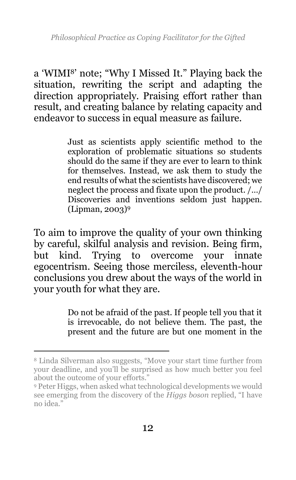a 'WIMI<sup>8</sup>' note; "Why I Missed It." Playing back the situation, rewriting the script and adapting the direction appropriately. Praising effort rather than result, and creating balance by relating capacity and endeavor to success in equal measure as failure.

> Just as scientists apply scientific method to the exploration of problematic situations so students should do the same if they are ever to learn to think for themselves. Instead, we ask them to study the end results of what the scientists have discovered; we neglect the process and fixate upon the product. /…/ Discoveries and inventions seldom just happen. (Lipman, 2003)<sup>9</sup>

To aim to improve the quality of your own thinking by careful, skilful analysis and revision. Being firm, but kind. Trying to overcome your innate egocentrism. Seeing those merciless, eleventh-hour conclusions you drew about the ways of the world in your youth for what they are.

> Do not be afraid of the past. If people tell you that it is irrevocable, do not believe them. The past, the present and the future are but one moment in the

<sup>8</sup> Linda Silverman also suggests, "Move your start time further from your deadline, and you'll be surprised as how much better you feel about the outcome of your efforts."

<sup>9</sup> Peter Higgs, when asked what technological developments we would see emerging from the discovery of the *Higgs boson* replied, "I have no idea."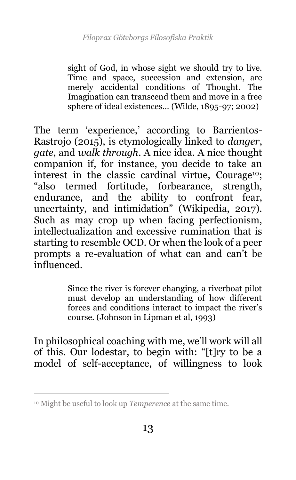sight of God, in whose sight we should try to live. Time and space, succession and extension, are merely accidental conditions of Thought. The Imagination can transcend them and move in a free sphere of ideal existences… (Wilde, 1895-97; 2002)

The term 'experience,' according to Barrientos-Rastrojo (2015), is etymologically linked to *danger*, *gate*, and *walk through*. A nice idea. A nice thought companion if, for instance, you decide to take an interest in the classic cardinal virtue, Courage<sup>10</sup>; "also termed fortitude, forbearance, strength, endurance, and the ability to confront fear, uncertainty, and intimidation" (Wikipedia, 2017). Such as may crop up when facing perfectionism, intellectualization and excessive rumination that is starting to resemble OCD. Or when the look of a peer prompts a re-evaluation of what can and can't be influenced.

> Since the river is forever changing, a riverboat pilot must develop an understanding of how different forces and conditions interact to impact the river's course. (Johnson in Lipman et al, 1993)

In philosophical coaching with me, we'll work will all of this. Our lodestar, to begin with: "[t]ry to be a model of self-acceptance, of willingness to look

<sup>10</sup> Might be useful to look up *Temperence* at the same time.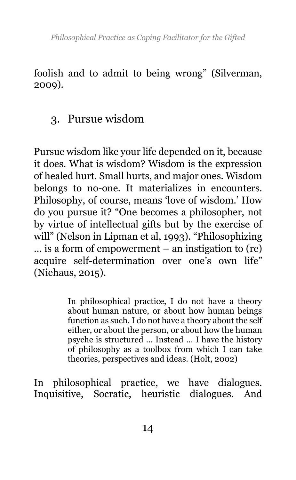foolish and to admit to being wrong" (Silverman, 2009).

# 3. Pursue wisdom

Pursue wisdom like your life depended on it, because it does. What is wisdom? Wisdom is the expression of healed hurt. Small hurts, and major ones. Wisdom belongs to no-one. It materializes in encounters. Philosophy, of course, means 'love of wisdom.' How do you pursue it? "One becomes a philosopher, not by virtue of intellectual gifts but by the exercise of will" (Nelson in Lipman et al, 1993). "Philosophizing … is a form of empowerment – an instigation to (re) acquire self-determination over one's own life" (Niehaus, 2015).

> In philosophical practice, I do not have a theory about human nature, or about how human beings function as such. I do not have a theory about the self either, or about the person, or about how the human psyche is structured … Instead … I have the history of philosophy as a toolbox from which I can take theories, perspectives and ideas. (Holt, 2002)

In philosophical practice, we have dialogues. Inquisitive, Socratic, heuristic dialogues. And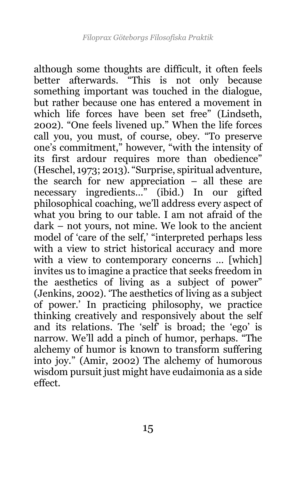although some thoughts are difficult, it often feels better afterwards. "This is not only because something important was touched in the dialogue, but rather because one has entered a movement in which life forces have been set free" (Lindseth, 2002). "One feels livened up." When the life forces call you, you must, of course, obey. "To preserve one's commitment," however, "with the intensity of its first ardour requires more than obedience" (Heschel, 1973; 2013). "Surprise, spiritual adventure, the search for new appreciation – all these are necessary ingredients…" (ibid.) In our gifted philosophical coaching, we'll address every aspect of what you bring to our table. I am not afraid of the dark – not yours, not mine. We look to the ancient model of 'care of the self,' "interpreted perhaps less with a view to strict historical accuracy and more with a view to contemporary concerns … [which] invites us to imagine a practice that seeks freedom in the aesthetics of living as a subject of power" (Jenkins, 2002). 'The aesthetics of living as a subject of power.' In practicing philosophy, we practice thinking creatively and responsively about the self and its relations. The 'self' is broad; the 'ego' is narrow. We'll add a pinch of humor, perhaps. "The alchemy of humor is known to transform suffering into joy." (Amir, 2002) The alchemy of humorous wisdom pursuit just might have eudaimonia as a side effect.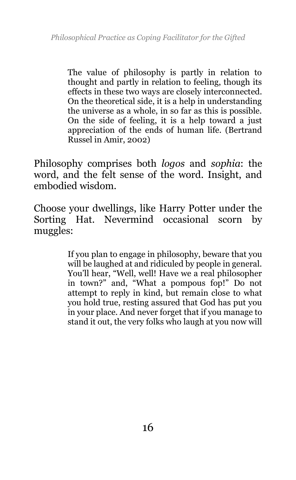The value of philosophy is partly in relation to thought and partly in relation to feeling, though its effects in these two ways are closely interconnected. On the theoretical side, it is a help in understanding the universe as a whole, in so far as this is possible. On the side of feeling, it is a help toward a just appreciation of the ends of human life. (Bertrand Russel in Amir, 2002)

Philosophy comprises both *logos* and *sophia*: the word, and the felt sense of the word. Insight, and embodied wisdom.

Choose your dwellings, like Harry Potter under the Sorting Hat. Nevermind occasional scorn by muggles:

> If you plan to engage in philosophy, beware that you will be laughed at and ridiculed by people in general. You'll hear, "Well, well! Have we a real philosopher in town?" and, "What a pompous fop!" Do not attempt to reply in kind, but remain close to what you hold true, resting assured that God has put you in your place. And never forget that if you manage to stand it out, the very folks who laugh at you now will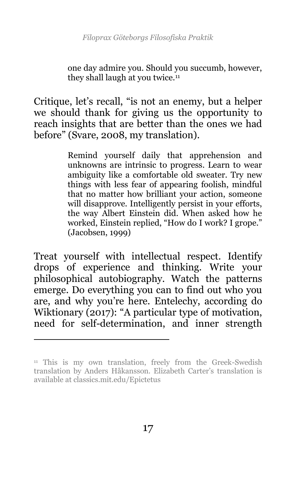one day admire you. Should you succumb, however, they shall laugh at you twice.<sup>11</sup>

Critique, let's recall, "is not an enemy, but a helper we should thank for giving us the opportunity to reach insights that are better than the ones we had before" (Svare, 2008, my translation).

> Remind yourself daily that apprehension and unknowns are intrinsic to progress. Learn to wear ambiguity like a comfortable old sweater. Try new things with less fear of appearing foolish, mindful that no matter how brilliant your action, someone will disapprove. Intelligently persist in your efforts, the way Albert Einstein did. When asked how he worked, Einstein replied, "How do I work? I grope." (Jacobsen, 1999)

Treat yourself with intellectual respect. Identify drops of experience and thinking. Write your philosophical autobiography. Watch the patterns emerge. Do everything you can to find out who you are, and why you're here. Entelechy, according do Wiktionary (2017): "A particular type of motivation, need for self-determination, and inner strength

<sup>&</sup>lt;sup>11</sup> This is my own translation, freely from the Greek-Swedish translation by Anders Håkansson. Elizabeth Carter's translation is available at classics.mit.edu/Epictetus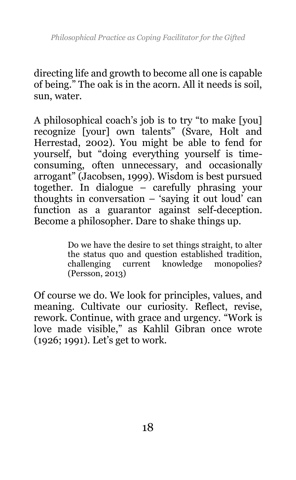directing life and growth to become all one is capable of being." The oak is in the acorn. All it needs is soil, sun, water.

A philosophical coach's job is to try "to make [you] recognize [your] own talents" (Svare, Holt and Herrestad, 2002). You might be able to fend for yourself, but "doing everything yourself is timeconsuming, often unnecessary, and occasionally arrogant" (Jacobsen, 1999). Wisdom is best pursued together. In dialogue – carefully phrasing your thoughts in conversation – 'saying it out loud' can function as a guarantor against self-deception. Become a philosopher. Dare to shake things up.

> Do we have the desire to set things straight, to alter the status quo and question established tradition, challenging current knowledge monopolies? (Persson, 2013)

Of course we do. We look for principles, values, and meaning. Cultivate our curiosity. Reflect, revise, rework. Continue, with grace and urgency. "Work is love made visible," as Kahlil Gibran once wrote (1926; 1991). Let's get to work.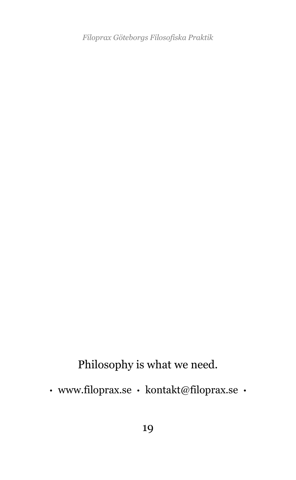*Filoprax Göteborgs Filosofiska Praktik*

Philosophy is what we need.

**·** [www.filoprax.se](http://www.filoprax.se/) **·** [kontakt@filoprax.se](mailto:kontakt@filoprax.se) **·**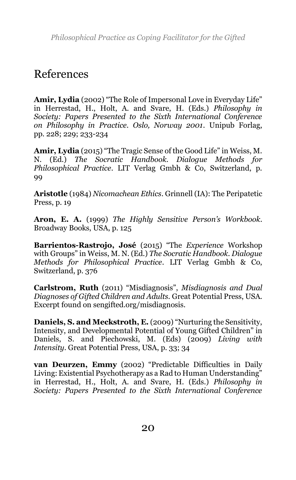# References

**Amir, Lydia** (2002) "The Role of Impersonal Love in Everyday Life" in Herrestad, H., Holt, A. and Svare, H. (Eds.) *Philosophy in Society: Papers Presented to the Sixth International Conference on Philosophy in Practice. Oslo, Norway 2001*. Unipub Forlag, pp. 228; 229; 233-234

**Amir, Lydia** (2015) "The Tragic Sense of the Good Life" in Weiss, M. N. (Ed.) *The Socratic Handbook. Dialogue Methods for Philosophical Practice*. LIT Verlag Gmbh & Co, Switzerland, p. 99

**Aristotle** (1984) *Nicomachean Ethics*. Grinnell (IA): The Peripatetic Press, p. 19

**Aron, E. A.** (1999) *The Highly Sensitive Person's Workbook*. Broadway Books, USA, p. 125

**Barrientos-Rastrojo, José** (2015) "The *Experience* Workshop with Groups" in Weiss, M. N. (Ed.) *The Socratic Handbook. Dialogue Methods for Philosophical Practice*. LIT Verlag Gmbh & Co, Switzerland, p. 376

**Carlstrom, Ruth** (2011) "Misdiagnosis", *Misdiagnosis and Dual Diagnoses of Gifted Children and Adults.* Great Potential Press, USA. Excerpt found on sengifted.org/misdiagnosis.

**Daniels, S. and Meckstroth, E.** (2009) "Nurturing the Sensitivity, Intensity, and Developmental Potential of Young Gifted Children" in Daniels, S. and Piechowski, M. (Eds) (2009) *Living with Intensity*. Great Potential Press, USA, p. 33; 34

**van Deurzen, Emmy** (2002) "Predictable Difficulties in Daily Living: Existential Psychotherapy as a Rad to Human Understanding" in Herrestad, H., Holt, A. and Svare, H. (Eds.) *Philosophy in Society: Papers Presented to the Sixth International Conference*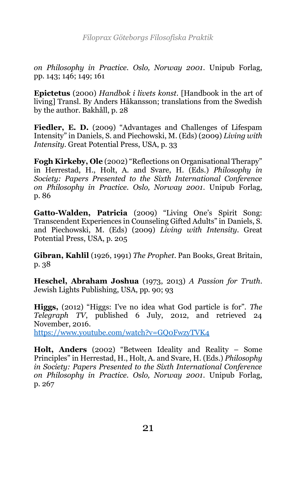*on Philosophy in Practice. Oslo, Norway 2001*. Unipub Forlag, pp. 143; 146; 149; 161

**Epictetus** (2000) *Handbok i livets konst*. [Handbook in the art of living] Transl. By Anders Håkansson; translations from the Swedish by the author. Bakhåll, p. 28

Fiedler, E. D. (2009) "Advantages and Challenges of Lifespam Intensity" in Daniels, S. and Piechowski, M. (Eds) (2009) *Living with Intensity*. Great Potential Press, USA, p. 33

**Fogh Kirkeby, Ole** (2002) "Reflections on Organisational Therapy" in Herrestad, H., Holt, A. and Svare, H. (Eds.) *Philosophy in Society: Papers Presented to the Sixth International Conference on Philosophy in Practice. Oslo, Norway 2001*. Unipub Forlag, p. 86

**Gatto-Walden, Patricia** (2009) "Living One's Spirit Song: Transcendent Experiences in Counseling Gifted Adults" in Daniels, S. and Piechowski, M. (Eds) (2009) *Living with Intensity*. Great Potential Press, USA, p. 205

**Gibran, Kahlil** (1926, 1991) *The Prophet*. Pan Books, Great Britain, p. 38

**Heschel, Abraham Joshua** (1973, 2013) *A Passion for Truth*. Jewish Lights Publishing, USA, pp. 90; 93

**Higgs,** (2012) "Higgs: I've no idea what God particle is for". *The Telegraph TV*, published 6 July, 2012, and retrieved 24 November, 2016. <https://www.youtube.com/watch?v=GQ0FwzyTVK4>

**Holt, Anders** (2002) "Between Ideality and Reality – Some Principles" in Herrestad, H., Holt, A. and Svare, H. (Eds.) *Philosophy* 

*in Society: Papers Presented to the Sixth International Conference on Philosophy in Practice. Oslo, Norway 2001*. Unipub Forlag, p. 267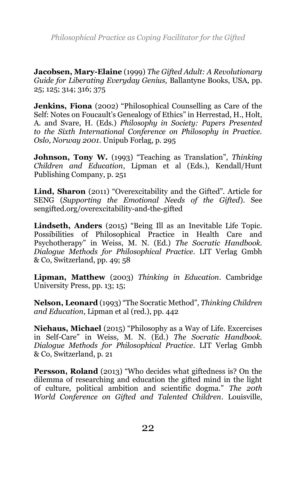**Jacobsen, Mary-Elaine** (1999) *The Gifted Adult: A Revolutionary Guide for Liberating Everyday Genius,* Ballantyne Books, USA, pp. 25; 125; 314; 316; 375

**Jenkins, Fiona** (2002) "Philosophical Counselling as Care of the Self: Notes on Foucault's Genealogy of Ethics" in Herrestad, H., Holt, A. and Svare, H. (Eds.) *Philosophy in Society: Papers Presented to the Sixth International Conference on Philosophy in Practice. Oslo, Norway 2001*. Unipub Forlag, p. 295

**Johnson, Tony W.** (1993) "Teaching as Translation", *Thinking Children and Education*, Lipman et al (Eds.), Kendall/Hunt Publishing Company, p. 251

**Lind, Sharon** (2011) "Overexcitability and the Gifted". Article for SENG (*Supporting the Emotional Needs of the Gifted*). See sengifted.org/overexcitability-and-the-gifted

**Lindseth, Anders** (2015) "Being Ill as an Inevitable Life Topic. Possibilities of Philosophical Practice in Health Care and Psychotherapy" in Weiss, M. N. (Ed.) *The Socratic Handbook. Dialogue Methods for Philosophical Practice*. LIT Verlag Gmbh & Co, Switzerland, pp. 49; 58

**Lipman, Matthew** (2003) *Thinking in Education*. Cambridge University Press, pp. 13; 15;

**Nelson, Leonard** (1993) "The Socratic Method", *Thinking Children and Education*, Lipman et al (red.), pp. 442

**Niehaus, Michael** (2015) "Philosophy as a Way of Life. Excercises in Self-Care" in Weiss, M. N. (Ed.) *The Socratic Handbook. Dialogue Methods for Philosophical Practice*. LIT Verlag Gmbh & Co, Switzerland, p. 21

**Persson, Roland** (2013) "Who decides what giftedness is? On the dilemma of researching and education the gifted mind in the light of culture, political ambition and scientific dogma." *The 20th World Conference on Gifted and Talented Children*. Louisville,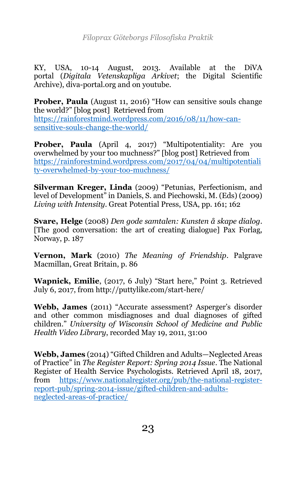KY, USA, 10-14 August, 2013. Available at the DiVA portal (*Digitala Vetenskapliga Arkivet*; the Digital Scientific Archive), diva-portal.org and on youtube.

**Prober, Paula** (August 11, 2016) "How can sensitive souls change the world?" [blog post] Retrieved from [https://rainforestmind.wordpress.com/2016/08/11/how-can](https://rainforestmind.wordpress.com/2016/08/11/how-can-sensitive-souls-change-the-world/)[sensitive-souls-change-the-world/](https://rainforestmind.wordpress.com/2016/08/11/how-can-sensitive-souls-change-the-world/)

Prober, Paula (April 4, 2017) "Multipotentiality: Are you overwhelmed by your too muchness?" [blog post] Retrieved from [https://rainforestmind.wordpress.com/2017/04/04/multipotentiali](https://rainforestmind.wordpress.com/2017/04/04/multipotentiality-overwhelmed-by-your-too-muchness/) [ty-overwhelmed-by-your-too-muchness/](https://rainforestmind.wordpress.com/2017/04/04/multipotentiality-overwhelmed-by-your-too-muchness/)

**Silverman Kreger, Linda** (2009) "Petunias, Perfectionism, and level of Development" in Daniels, S. and Piechowski, M. (Eds) (2009) *Living with Intensity*. Great Potential Press, USA, pp. 161; 162

**Svare, Helge** (2008) *Den gode samtalen: Kunsten å skape dialog*. [The good conversation: the art of creating dialogue] Pax Forlag, Norway, p. 187

**Vernon, Mark** (2010) *The Meaning of Friendship*. Palgrave Macmillan, Great Britain, p. 86

**Wapnick, Emilie**, (2017, 6 July) "Start here," Point 3. Retrieved July 6, 2017, from http://puttylike.com/start-here/

**Webb, James** (2011) "Accurate assessment? Asperger's disorder and other common misdiagnoses and dual diagnoses of gifted children." *University of Wisconsin School of Medicine and Public Health Video Library*, recorded May 19, 2011, 31:00

**Webb, James** (2014) "Gifted Children and Adults—Neglected Areas of Practice" in *The Register Report: Spring 2014 Issue*. The National Register of Health Service Psychologists. Retrieved April 18, 2017, from [https://www.nationalregister.org/pub/the-national-register](https://www.nationalregister.org/pub/the-national-register-report-pub/spring-2014-issue/gifted-children-and-adults-neglected-areas-of-practice/)[report-pub/spring-2014-issue/gifted-children-and-adults](https://www.nationalregister.org/pub/the-national-register-report-pub/spring-2014-issue/gifted-children-and-adults-neglected-areas-of-practice/)[neglected-areas-of-practice/](https://www.nationalregister.org/pub/the-national-register-report-pub/spring-2014-issue/gifted-children-and-adults-neglected-areas-of-practice/)